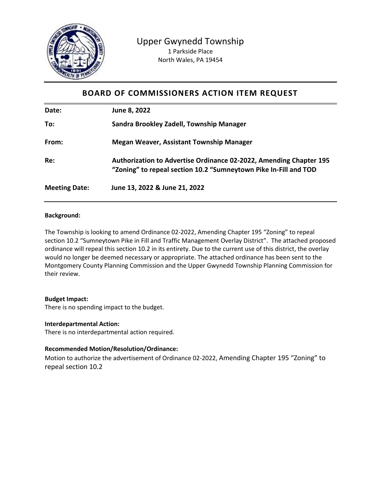

# **BOARD OF COMMISSIONERS ACTION ITEM REQUEST**

| Date:                | June 8, 2022                                                                                                                           |
|----------------------|----------------------------------------------------------------------------------------------------------------------------------------|
| To:                  | Sandra Brookley Zadell, Township Manager                                                                                               |
| From:                | <b>Megan Weaver, Assistant Township Manager</b>                                                                                        |
| Re:                  | Authorization to Advertise Ordinance 02-2022, Amending Chapter 195<br>"Zoning" to repeal section 10.2 "Sumneytown Pike In-Fill and TOD |
| <b>Meeting Date:</b> | June 13, 2022 & June 21, 2022                                                                                                          |

## **Background:**

The Township is looking to amend Ordinance 02-2022, Amending Chapter 195 "Zoning" to repeal section 10.2 "Sumneytown Pike in Fill and Traffic Management Overlay District". The attached proposed ordinance will repeal this section 10.2 in its entirety. Due to the current use of this district, the overlay would no longer be deemed necessary or appropriate. The attached ordinance has been sent to the Montgomery County Planning Commission and the Upper Gwynedd Township Planning Commission for their review.

### **Budget Impact:**

There is no spending impact to the budget.

### **Interdepartmental Action:**

There is no interdepartmental action required.

### **Recommended Motion/Resolution/Ordinance:**

Motion to authorize the advertisement of Ordinance 02-2022, Amending Chapter 195 "Zoning" to repeal section 10.2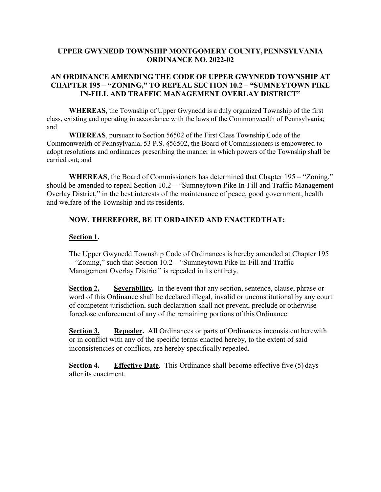## **UPPER GWYNEDD TOWNSHIP MONTGOMERY COUNTY,PENNSYLVANIA ORDINANCE NO. 2022-02**

## **AN ORDINANCE AMENDING THE CODE OF UPPER GWYNEDD TOWNSHIP AT CHAPTER 195 – "ZONING," TO REPEAL SECTION 10.2 – "SUMNEYTOWN PIKE IN-FILL AND TRAFFIC MANAGEMENT OVERLAY DISTRICT"**

**WHEREAS**, the Township of Upper Gwynedd is a duly organized Township of the first class, existing and operating in accordance with the laws of the Commonwealth of Pennsylvania; and

**WHEREAS**, pursuant to Section 56502 of the First Class Township Code of the Commonwealth of Pennsylvania, 53 P.S. §56502, the Board of Commissioners is empowered to adopt resolutions and ordinances prescribing the manner in which powers of the Township shall be carried out; and

**WHEREAS**, the Board of Commissioners has determined that Chapter 195 – "Zoning," should be amended to repeal Section 10.2 – "Sumneytown Pike In-Fill and Traffic Management Overlay District," in the best interests of the maintenance of peace, good government, health and welfare of the Township and its residents.

## **NOW, THEREFORE, BE IT ORDAINED AND ENACTEDTHAT:**

### **Section 1.**

The Upper Gwynedd Township Code of Ordinances is hereby amended at Chapter 195 – "Zoning," such that Section 10.2 – "Sumneytown Pike In-Fill and Traffic Management Overlay District" is repealed in its entirety.

**Section 2. Severability.** In the event that any section, sentence, clause, phrase or word of this Ordinance shall be declared illegal, invalid or unconstitutional by any court of competent jurisdiction, such declaration shall not prevent, preclude or otherwise foreclose enforcement of any of the remaining portions of this Ordinance.

**Section 3. Repealer.** All Ordinances or parts of Ordinances inconsistent herewith or in conflict with any of the specific terms enacted hereby, to the extent of said inconsistencies or conflicts, are hereby specifically repealed.

**Section 4. Effective Date**. This Ordinance shall become effective five (5) days after its enactment.